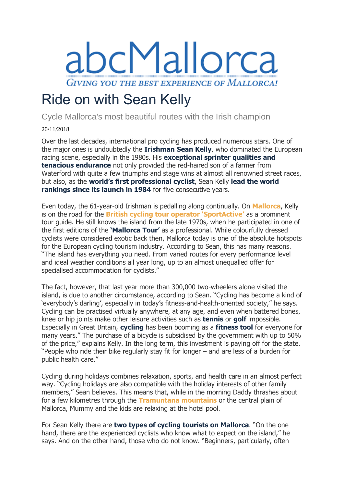

## Ride on with Sean Kelly

Cycle Mallorca's most beautiful routes with the Irish champion

20/11/2018

Over the last decades, international pro cycling has produced numerous stars. One of the major ones is undoubtedly the **Irishman Sean Kelly**, who dominated the European racing scene, especially in the 1980s. His **exceptional sprinter qualities and tenacious endurance** not only provided the red-haired son of a farmer from Waterford with quite a few triumphs and stage wins at almost all renowned street races, but also, as the **world's first professional cyclist**, Sean Kelly **lead the world rankings since its launch in 1984** for five consecutive years.

Even today, the 61-year-old Irishman is pedalling along continually. On **[Mallorca](https://www.abc-mallorca.com/)**, Kelly is on the road for the **[British cycling tour](https://www.abc-mallorca.com/cycling-holiday-alcudia-mallorca/) operator 'SportActive'** as a prominent tour guide. He still knows the island from the late 1970s, when he participated in one of the first editions of the **'Mallorca Tour'** as a professional. While colourfully dressed cyclists were considered exotic back then, Mallorca today is one of the absolute hotspots for the European cycling tourism industry. According to Sean, this has many reasons. "The island has everything you need. From varied routes for every performance level and ideal weather conditions all year long, up to an almost unequalled offer for specialised accommodation for cyclists."

The fact, however, that last year more than 300,000 two-wheelers alone visited the island, is due to another circumstance, according to Sean. "Cycling has become a kind of 'everybody's darling', especially in today's fitness-and-health-oriented society," he says. Cycling can be practised virtually anywhere, at any age, and even when battered bones, knee or hip joints make other leisure activities such as **tennis** or **golf** impossible. Especially in Great Britain, **cycling** has been booming as a **fitness tool** for everyone for many years." The purchase of a bicycle is subsidised by the government with up to 50% of the price," explains Kelly. In the long term, this investment is paying off for the state. "People who ride their bike regularly stay fit for longer – and are less of a burden for public health care."

Cycling during holidays combines relaxation, sports, and health care in an almost perfect way. "Cycling holidays are also compatible with the holiday interests of other family members," Sean believes. This means that, while in the morning Daddy thrashes about for a few kilometres through the **[Tramuntana mountains](https://www.abc-mallorca.com/serra-de-tramuntana/)** or the central plain of Mallorca, Mummy and the kids are relaxing at the hotel pool.

For Sean Kelly there are **two types of cycling tourists on Mallorca**. "On the one hand, there are the experienced cyclists who know what to expect on the island," he says. And on the other hand, those who do not know. "Beginners, particularly, often